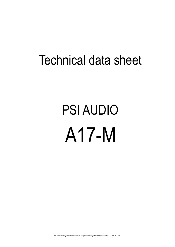## Technical data sheet

## PSI AUDIO A17-M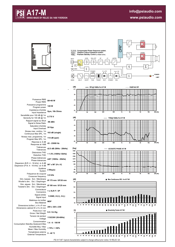